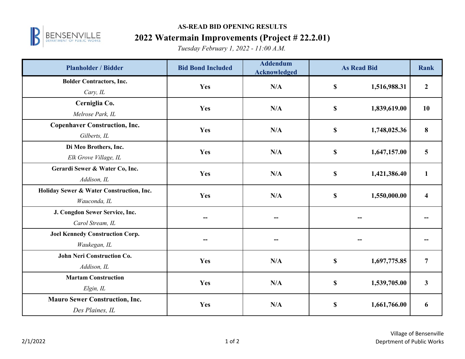

## **AS-READ BID OPENING RESULTS**

## **2022 Watermain Improvements (Project # 22.2.01)**

*Tuesday February 1, 2022 - 11:00 A.M.*

| <b>Planholder / Bidder</b>               | <b>Bid Bond Included</b> | <b>Addendum</b><br><b>Acknowledged</b> | <b>As Read Bid</b>        |              | <b>Rank</b>             |
|------------------------------------------|--------------------------|----------------------------------------|---------------------------|--------------|-------------------------|
| <b>Bolder Contractors, Inc.</b>          | Yes                      | N/A                                    | $\mathbf S$               | 1,516,988.31 | $\boldsymbol{2}$        |
| Cary, IL                                 |                          |                                        |                           |              |                         |
| Cerniglia Co.                            | Yes                      | N/A                                    | \$                        | 1,839,619.00 | 10                      |
| Melrose Park, IL                         |                          |                                        |                           |              |                         |
| <b>Copenhaver Construction, Inc.</b>     | Yes                      | N/A                                    | \$                        | 1,748,025.36 | 8                       |
| Gilberts, IL                             |                          |                                        |                           |              |                         |
| Di Meo Brothers, Inc.                    | Yes                      | N/A                                    | $\mathbf S$               | 1,647,157.00 | $\overline{\mathbf{5}}$ |
| Elk Grove Village, IL                    |                          |                                        |                           |              |                         |
| Gerardi Sewer & Water Co, Inc.           | Yes                      | N/A                                    | \$                        | 1,421,386.40 | $\mathbf{1}$            |
| Addison, IL                              |                          |                                        |                           |              |                         |
| Holiday Sewer & Water Construction, Inc. | Yes                      | N/A                                    | $\boldsymbol{\mathsf{S}}$ | 1,550,000.00 | $\overline{\mathbf{4}}$ |
| Wauconda, IL                             |                          |                                        |                           |              |                         |
| J. Congdon Sewer Service, Inc.           |                          |                                        |                           |              |                         |
| Carol Stream, IL                         |                          |                                        |                           |              |                         |
| <b>Joel Kennedy Construction Corp.</b>   |                          |                                        |                           |              |                         |
| Waukegan, IL                             |                          |                                        |                           |              |                         |
| <b>John Neri Construction Co.</b>        | Yes                      | N/A                                    | \$                        | 1,697,775.85 | $\overline{7}$          |
| Addison, IL                              |                          |                                        |                           |              |                         |
| <b>Martam Construction</b>               | Yes                      | N/A                                    | $\boldsymbol{\mathsf{S}}$ | 1,539,705.00 | $\mathbf{3}$            |
| Elgin, IL                                |                          |                                        |                           |              |                         |
| <b>Mauro Sewer Construction, Inc.</b>    | Yes                      | N/A                                    | \$                        | 1,661,766.00 | 6                       |
| Des Plaines, IL                          |                          |                                        |                           |              |                         |